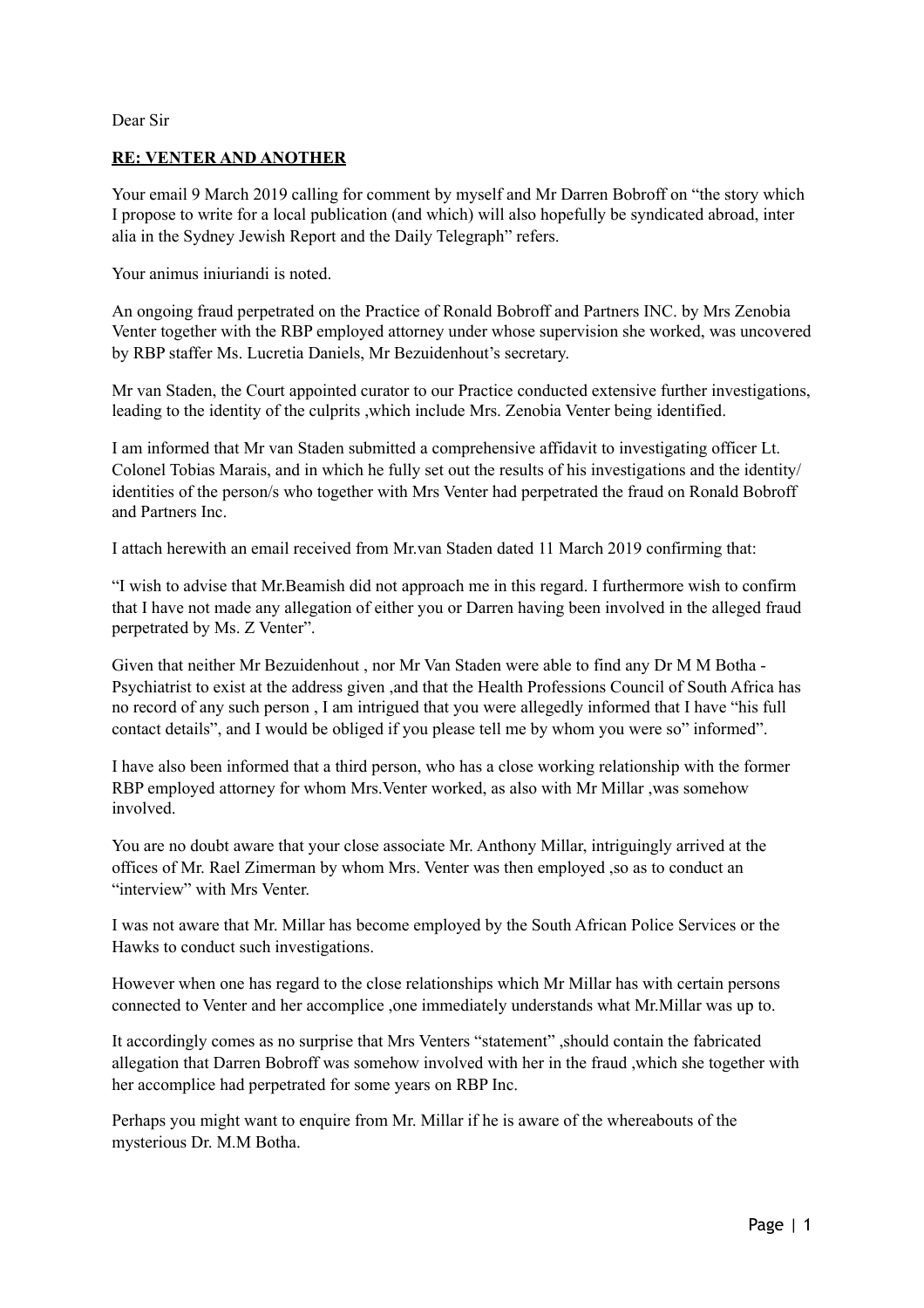## Dear Sir

## **RE: VENTER AND ANOTHER**

Your email 9 March 2019 calling for comment by myself and Mr Darren Bobroff on "the story which I propose to write for a local publication (and which) will also hopefully be syndicated abroad, inter alia in the Sydney Jewish Report and the Daily Telegraph" refers.

Your animus iniuriandi is noted.

An ongoing fraud perpetrated on the Practice of Ronald Bobroff and Partners INC. by Mrs Zenobia Venter together with the RBP employed attorney under whose supervision she worked, was uncovered by RBP staffer Ms. Lucretia Daniels, Mr Bezuidenhout's secretary.

Mr van Staden, the Court appointed curator to our Practice conducted extensive further investigations, leading to the identity of the culprits ,which include Mrs. Zenobia Venter being identified.

I am informed that Mr van Staden submitted a comprehensive affidavit to investigating officer Lt. Colonel Tobias Marais, and in which he fully set out the results of his investigations and the identity/ identities of the person/s who together with Mrs Venter had perpetrated the fraud on Ronald Bobroff and Partners Inc.

I attach herewith an email received from Mr.van Staden dated 11 March 2019 confirming that:

"I wish to advise that Mr.Beamish did not approach me in this regard. I furthermore wish to confirm that I have not made any allegation of either you or Darren having been involved in the alleged fraud perpetrated by Ms. Z Venter".

Given that neither Mr Bezuidenhout , nor Mr Van Staden were able to find any Dr M M Botha - Psychiatrist to exist at the address given ,and that the Health Professions Council of South Africa has no record of any such person , I am intrigued that you were allegedly informed that I have "his full contact details", and I would be obliged if you please tell me by whom you were so" informed".

I have also been informed that a third person, who has a close working relationship with the former RBP employed attorney for whom Mrs.Venter worked, as also with Mr Millar ,was somehow involved.

You are no doubt aware that your close associate Mr. Anthony Millar, intriguingly arrived at the offices of Mr. Rael Zimerman by whom Mrs. Venter was then employed ,so as to conduct an "interview" with Mrs Venter.

I was not aware that Mr. Millar has become employed by the South African Police Services or the Hawks to conduct such investigations.

However when one has regard to the close relationships which Mr Millar has with certain persons connected to Venter and her accomplice ,one immediately understands what Mr.Millar was up to.

It accordingly comes as no surprise that Mrs Venters "statement" ,should contain the fabricated allegation that Darren Bobroff was somehow involved with her in the fraud ,which she together with her accomplice had perpetrated for some years on RBP Inc.

Perhaps you might want to enquire from Mr. Millar if he is aware of the whereabouts of the mysterious Dr. M.M Botha.